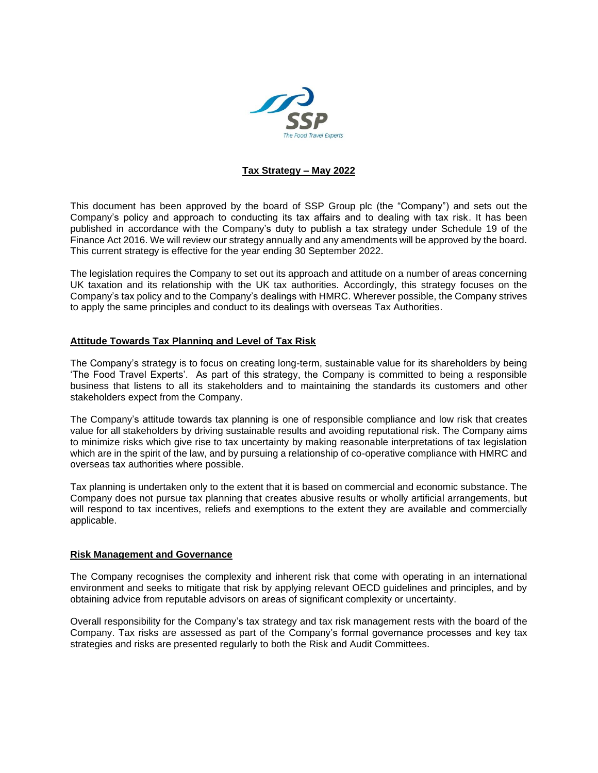

## **Tax Strategy – May 2022**

This document has been approved by the board of SSP Group plc (the "Company") and sets out the Company's policy and approach to conducting its tax affairs and to dealing with tax risk. It has been published in accordance with the Company's duty to publish a tax strategy under Schedule 19 of the Finance Act 2016. We will review our strategy annually and any amendments will be approved by the board. This current strategy is effective for the year ending 30 September 2022.

The legislation requires the Company to set out its approach and attitude on a number of areas concerning UK taxation and its relationship with the UK tax authorities. Accordingly, this strategy focuses on the Company's tax policy and to the Company's dealings with HMRC. Wherever possible, the Company strives to apply the same principles and conduct to its dealings with overseas Tax Authorities.

## **Attitude Towards Tax Planning and Level of Tax Risk**

The Company's strategy is to focus on creating long-term, sustainable value for its shareholders by being 'The Food Travel Experts'. As part of this strategy, the Company is committed to being a responsible business that listens to all its stakeholders and to maintaining the standards its customers and other stakeholders expect from the Company.

The Company's attitude towards tax planning is one of responsible compliance and low risk that creates value for all stakeholders by driving sustainable results and avoiding reputational risk. The Company aims to minimize risks which give rise to tax uncertainty by making reasonable interpretations of tax legislation which are in the spirit of the law, and by pursuing a relationship of co-operative compliance with HMRC and overseas tax authorities where possible.

Tax planning is undertaken only to the extent that it is based on commercial and economic substance. The Company does not pursue tax planning that creates abusive results or wholly artificial arrangements, but will respond to tax incentives, reliefs and exemptions to the extent they are available and commercially applicable.

## **Risk Management and Governance**

The Company recognises the complexity and inherent risk that come with operating in an international environment and seeks to mitigate that risk by applying relevant OECD guidelines and principles, and by obtaining advice from reputable advisors on areas of significant complexity or uncertainty.

Overall responsibility for the Company's tax strategy and tax risk management rests with the board of the Company. Tax risks are assessed as part of the Company's formal governance processes and key tax strategies and risks are presented regularly to both the Risk and Audit Committees.